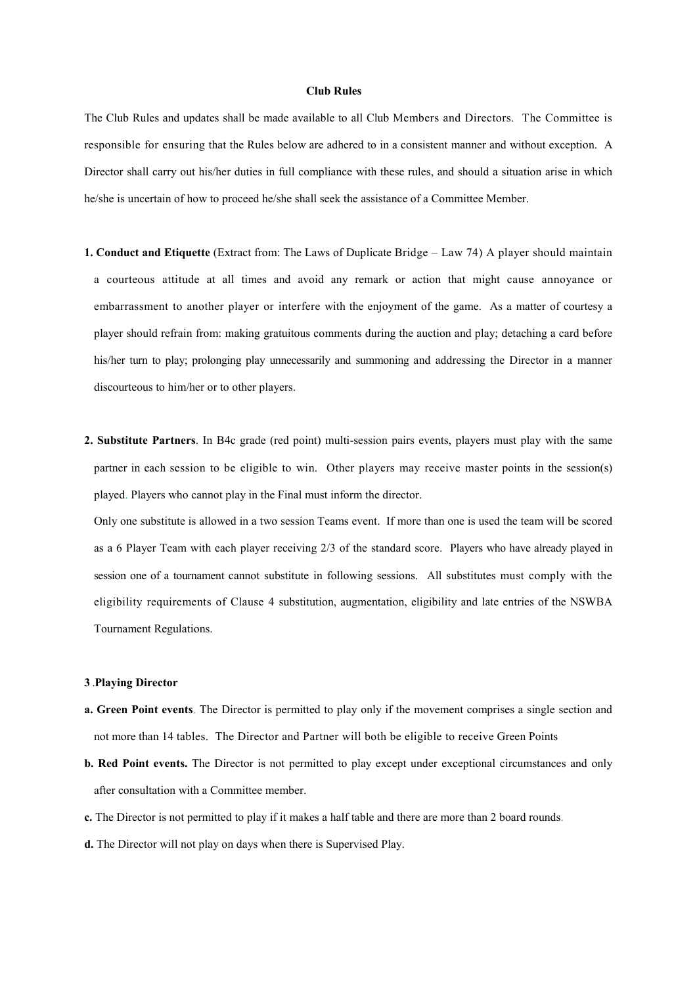## **Club Rules**

The Club Rules and updates shall be made available to all Club Members and Directors. The Committee is responsible for ensuring that the Rules below are adhered to in a consistent manner and without exception. A Director shall carry out his/her duties in full compliance with these rules, and should a situation arise in which he/she is uncertain of how to proceed he/she shall seek the assistance of a Committee Member.

- **1. Conduct and Etiquette** (Extract from: The Laws of Duplicate Bridge Law 74) A player should maintain a courteous attitude at all times and avoid any remark or action that might cause annoyance or embarrassment to another player or interfere with the enjoyment of the game. As a matter of courtesy a player should refrain from: making gratuitous comments during the auction and play; detaching a card before his/her turn to play; prolonging play unnecessarily and summoning and addressing the Director in a manner discourteous to him/her or to other players.
- **2. Substitute Partners**. In B4c grade (red point) multi-session pairs events, players must play with the same partner in each session to be eligible to win. Other players may receive master points in the session(s) played. Players who cannot play in the Final must inform the director.

Only one substitute is allowed in a two session Teams event. If more than one is used the team will be scored as a 6 Player Team with each player receiving 2/3 of the standard score. Players who have already played in session one of a tournament cannot substitute in following sessions. All substitutes must comply with the eligibility requirements of Clause 4 substitution, augmentation, eligibility and late entries of the NSWBA Tournament Regulations.

## **3** .**Playing Director**

- **a. Green Point events**. The Director is permitted to play only if the movement comprises a single section and not more than 14 tables. The Director and Partner will both be eligible to receive Green Points
- **b. Red Point events.** The Director is not permitted to play except under exceptional circumstances and only after consultation with a Committee member.
- **c.** The Director is not permitted to play if it makes a half table and there are more than 2 board rounds.
- **d.** The Director will not play on days when there is Supervised Play.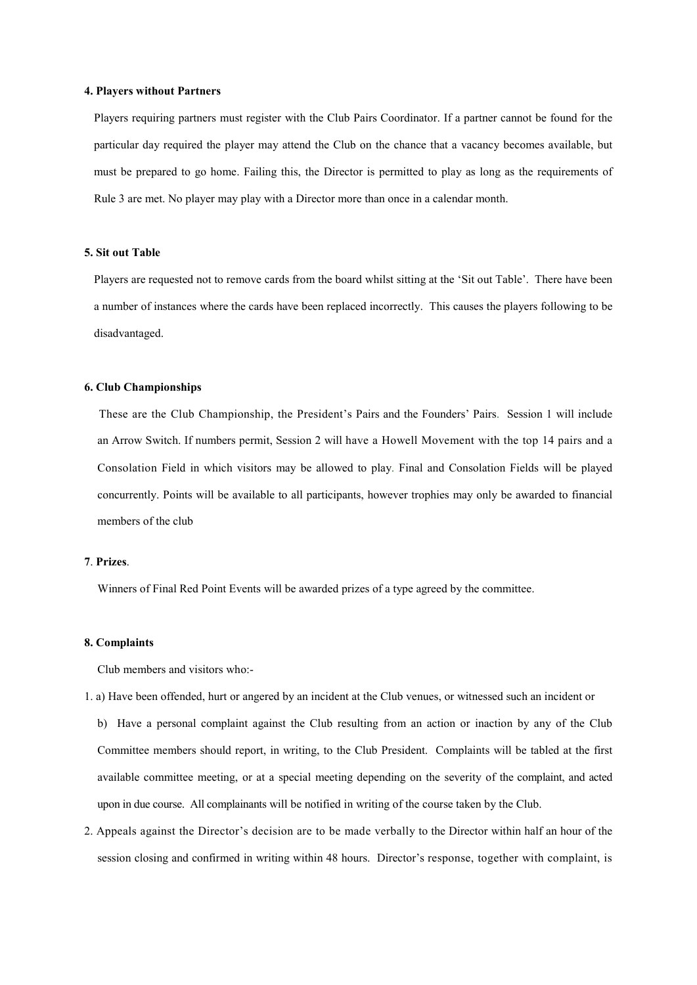## **4. Players without Partners**

Players requiring partners must register with the Club Pairs Coordinator. If a partner cannot be found for the particular day required the player may attend the Club on the chance that a vacancy becomes available, but must be prepared to go home. Failing this, the Director is permitted to play as long as the requirements of Rule 3 are met. No player may play with a Director more than once in a calendar month.

## **5. Sit out Table**

Players are requested not to remove cards from the board whilst sitting at the 'Sit out Table'. There have been a number of instances where the cards have been replaced incorrectly. This causes the players following to be disadvantaged.

## **6. Club Championships**

 These are the Club Championship, the President's Pairs and the Founders' Pairs. Session 1 will include an Arrow Switch. If numbers permit, Session 2 will have a Howell Movement with the top 14 pairs and a Consolation Field in which visitors may be allowed to play. Final and Consolation Fields will be played concurrently. Points will be available to all participants, however trophies may only be awarded to financial members of the club

# **7**. **Prizes**.

Winners of Final Red Point Events will be awarded prizes of a type agreed by the committee.

## **8. Complaints**

Club members and visitors who:-

- 1. a) Have been offended, hurt or angered by an incident at the Club venues, or witnessed such an incident or
	- b) Have a personal complaint against the Club resulting from an action or inaction by any of the Club Committee members should report, in writing, to the Club President. Complaints will be tabled at the first available committee meeting, or at a special meeting depending on the severity of the complaint, and acted upon in due course. All complainants will be notified in writing of the course taken by the Club.
- 2. Appeals against the Director's decision are to be made verbally to the Director within half an hour of the session closing and confirmed in writing within 48 hours. Director's response, together with complaint, is